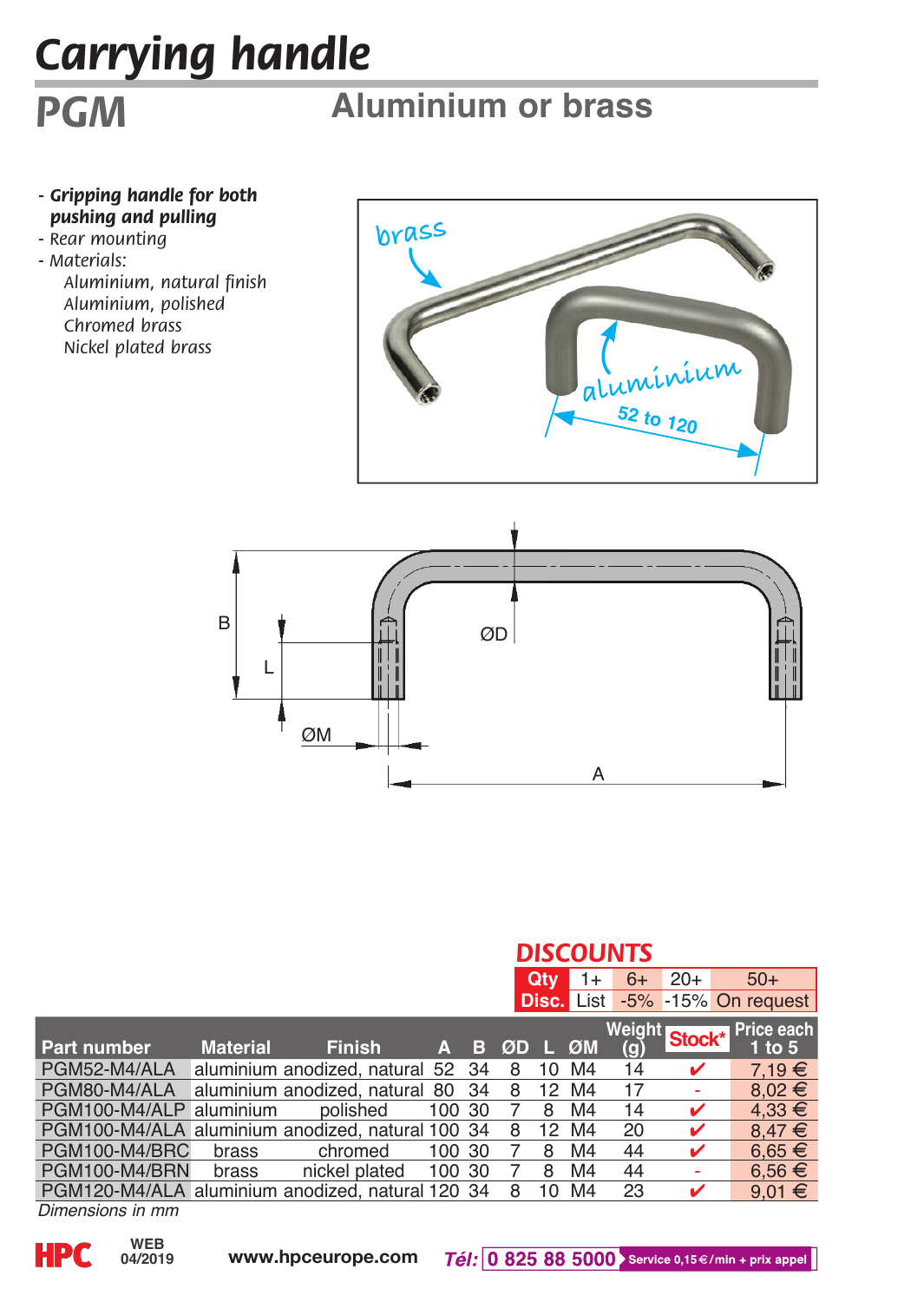## *Carrying handle*

## **Aluminium or brass**

- *Gripping handle for both pushing and pulling - Rear mounting*
- *Materials:*

*PGM*

*Aluminium, natural finish Aluminium, polished Chromed brass Nickel plated brass*





|                                                  |                 |                                | <b>DISCOUNTS</b> |     |    |      |                   |                      |        |                         |  |
|--------------------------------------------------|-----------------|--------------------------------|------------------|-----|----|------|-------------------|----------------------|--------|-------------------------|--|
|                                                  |                 |                                |                  |     |    | Qtv  | 1+                | $6+$                 | $20+$  | $50+$                   |  |
|                                                  |                 |                                |                  |     |    |      | <b>Disc. List</b> |                      |        | $-5\% -15\%$ On request |  |
| <b>Part number</b>                               | <b>Material</b> | <b>Finish</b>                  | Δ                | в   | ØD | - 14 | ØM                | <b>Weight</b><br>(g) | Stock* | Price each<br>1 to $5$  |  |
| PGM52-M4/ALA                                     |                 | aluminium anodized, natural 52 |                  | 34  | 8  | 10   | M4                | 14                   |        | $7.19 \in$              |  |
| PGM80-M4/ALA                                     |                 | aluminium anodized, natural 80 |                  | 34  | 8  | 12   | M4                | 17                   |        | $8.02 \in$              |  |
| PGM100-M4/ALP                                    | aluminium       | polished                       | 100              | -30 |    | 8    | M4                | 14                   | v      | $4.33 \in$              |  |
| PGM100-M4/ALA aluminium anodized, natural 100 34 |                 |                                |                  |     | 8  | 12   | M4                | 20                   | ✔      | $8.47 \in$              |  |
| PGM100-M4/BRC                                    | brass           | chromed                        | 100 30           |     |    | 8    | M4                | 44                   |        | $6.65 \in$              |  |
| PGM100-M4/BRN                                    | brass           | nickel plated                  | 100 30           |     |    | 8    | M4                | 44                   |        | $6.56 \in$              |  |
| PGM120-M4/ALA aluminium anodized, natural 120 34 |                 |                                |                  |     | 8  | 10   | M <sub>4</sub>    | 23                   |        | $9.01 \in$              |  |

*Dimensions in mm*

**04/2019**